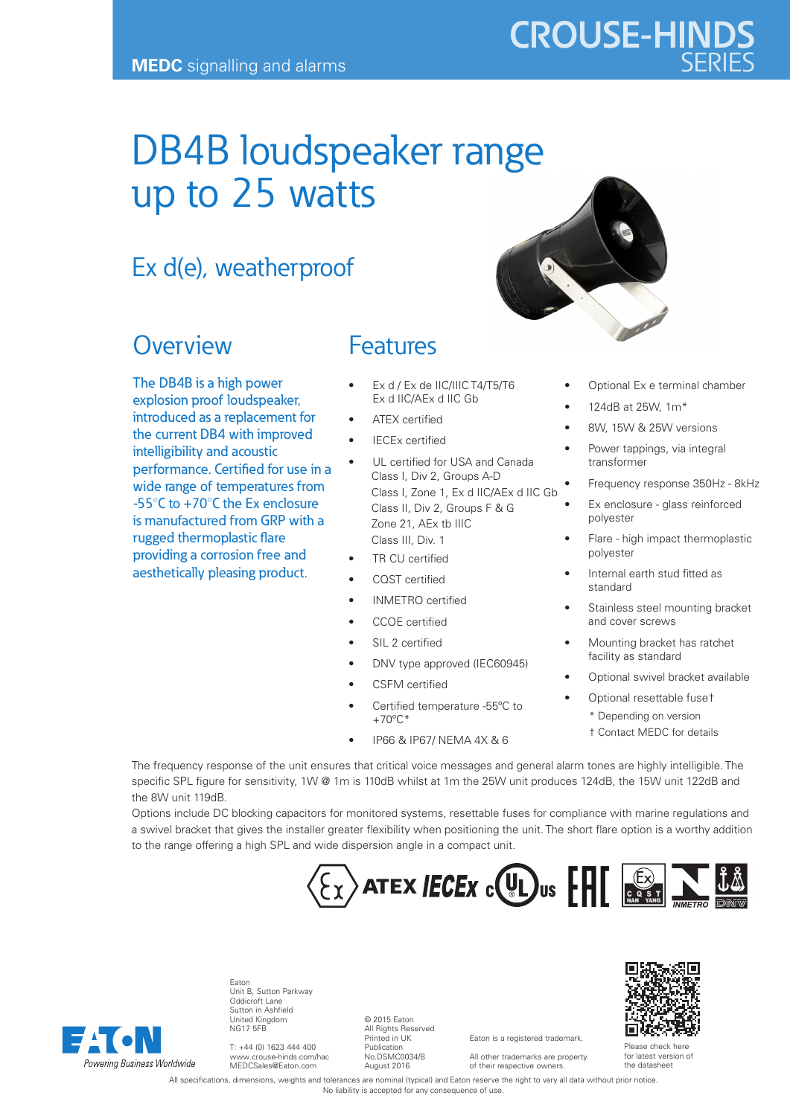## DB4B loudspeaker range up to 25 watts

### Ex d(e), weatherproof

#### **Overview**

The DB4B is a high power explosion proof loudspeaker, introduced as a replacement for the current DB4 with improved intelligibility and acoustic performance. Certified for use in a wide range of temperatures from -55°C to +70°C the Ex enclosure is manufactured from GRP with a rugged thermoplastic flare providing a corrosion free and aesthetically pleasing product.

#### Features

- Ex d / Ex de IIC/IIIC T4/T5/T6 Ex d IIC/AEx d IIC Gb
- ATEX certified
- **IECEx certified**
- UL certified for USA and Canada Class I, Div 2, Groups A-D Class I, Zone 1, Ex d IIC/AEx d IIC Gb Class II, Div 2, Groups F & G Zone 21, AEx tb IIIC Class III, Div. 1
- TR CU certified
- CQST certified
- INMETRO certified
- CCOE certified
- SIL 2 certified
- DNV type approved (IEC60945)
- CSFM certified
- Certified temperature -55ºC to  $+70^{\circ}$ C\*
	- IP66 & IP67/ NEMA 4X & 6



- 8W, 15W & 25W versions
- Power tappings, via integral transformer
- Frequency response 350Hz 8kHz
- Ex enclosure glass reinforced polyester
- Flare high impact thermoplastic polyester
- Internal earth stud fitted as standard
- Stainless steel mounting bracket and cover screws
- Mounting bracket has ratchet facility as standard
- Optional swivel bracket available
- Optional resettable fuse† \* Depending on version † Contact MEDC for details

The frequency response of the unit ensures that critical voice messages and general alarm tones are highly intelligible. The specific SPL figure for sensitivity, 1W @ 1m is 110dB whilst at 1m the 25W unit produces 124dB, the 15W unit 122dB and the 8W unit 119dB.

Options include DC blocking capacitors for monitored systems, resettable fuses for compliance with marine regulations and a swivel bracket that gives the installer greater flexibility when positioning the unit. The short flare option is a worthy addition to the range offering a high SPL and wide dispersion angle in a compact unit.





Eaton Unit B, Sutton Parkway Oddicroft Lane Sutton in Ashfield United Kingdom NG17 5FB

T: +44 (0) 1623 444 400 www.crouse-hinds.com/hac MEDCSales@Eaton.com

© 2015 Eaton All Rights Reserved Printed in UK Publication No.DSMC0034/B August 2016

Eaton is a registered trademark. All other trademarks are property

of their respective owners.



Please check here for latest version of the datasheet

All specifications, dimensions, weights and tolerances are nominal (typical) and Eaton reserve the right to vary all data without prior notice. No liability is accepted for any consequence of use.





# **CROUSE-HINDS**